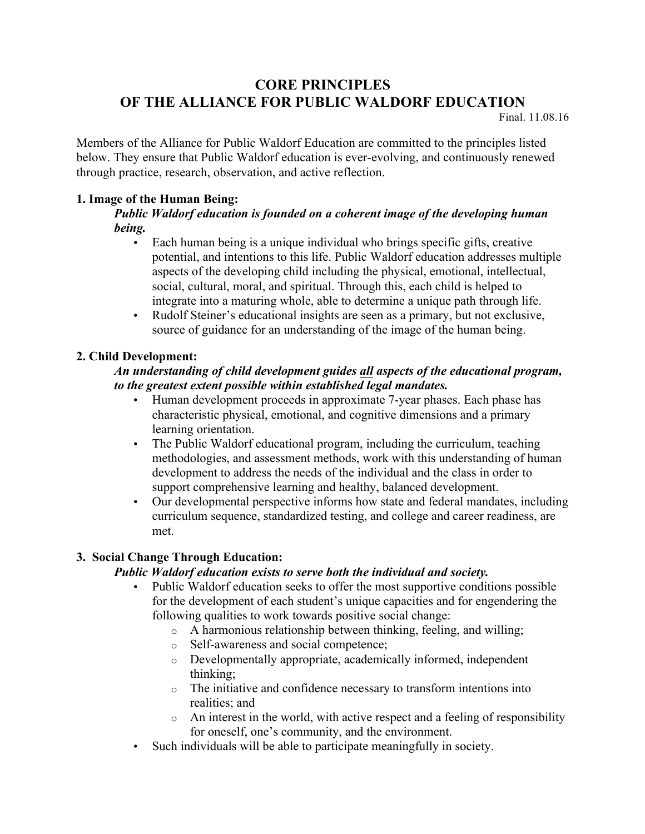# **CORE PRINCIPLES OF THE ALLIANCE FOR PUBLIC WALDORF EDUCATION**

Final. 11.08.16

Members of the Alliance for Public Waldorf Education are committed to the principles listed below. They ensure that Public Waldorf education is ever-evolving, and continuously renewed through practice, research, observation, and active reflection.

## **1. Image of the Human Being:**

## *Public Waldorf education is founded on a coherent image of the developing human being.*

- Each human being is a unique individual who brings specific gifts, creative potential, and intentions to this life. Public Waldorf education addresses multiple aspects of the developing child including the physical, emotional, intellectual, social, cultural, moral, and spiritual. Through this, each child is helped to integrate into a maturing whole, able to determine a unique path through life.
- Rudolf Steiner's educational insights are seen as a primary, but not exclusive, source of guidance for an understanding of the image of the human being.

# **2. Child Development:**

#### *An understanding of child development guides all aspects of the educational program, to the greatest extent possible within established legal mandates.*

- Human development proceeds in approximate 7-year phases. Each phase has characteristic physical, emotional, and cognitive dimensions and a primary learning orientation.
- The Public Waldorf educational program, including the curriculum, teaching methodologies, and assessment methods, work with this understanding of human development to address the needs of the individual and the class in order to support comprehensive learning and healthy, balanced development.
- Our developmental perspective informs how state and federal mandates, including curriculum sequence, standardized testing, and college and career readiness, are met.

# **3. Social Change Through Education:**

#### *Public Waldorf education exists to serve both the individual and society.*

- Public Waldorf education seeks to offer the most supportive conditions possible for the development of each student's unique capacities and for engendering the following qualities to work towards positive social change:
	- o A harmonious relationship between thinking, feeling, and willing;
	- o Self-awareness and social competence;
	- o Developmentally appropriate, academically informed, independent thinking;
	- o The initiative and confidence necessary to transform intentions into realities; and
	- o An interest in the world, with active respect and a feeling of responsibility for oneself, one's community, and the environment.
- Such individuals will be able to participate meaningfully in society.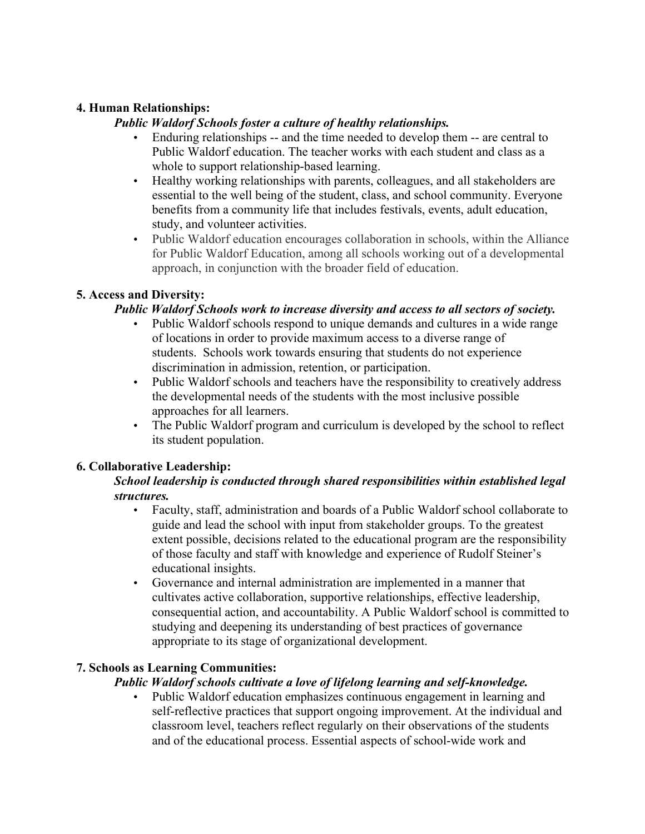## **4. Human Relationships:**

## *Public Waldorf Schools foster a culture of healthy relationships.*

- Enduring relationships -- and the time needed to develop them -- are central to Public Waldorf education. The teacher works with each student and class as a whole to support relationship-based learning.
- Healthy working relationships with parents, colleagues, and all stakeholders are essential to the well being of the student, class, and school community. Everyone benefits from a community life that includes festivals, events, adult education, study, and volunteer activities.
- Public Waldorf education encourages collaboration in schools, within the Alliance for Public Waldorf Education, among all schools working out of a developmental approach, in conjunction with the broader field of education.

# **5. Access and Diversity:**

## *Public Waldorf Schools work to increase diversity and access to all sectors of society.*

- Public Waldorf schools respond to unique demands and cultures in a wide range of locations in order to provide maximum access to a diverse range of students. Schools work towards ensuring that students do not experience discrimination in admission, retention, or participation.
- Public Waldorf schools and teachers have the responsibility to creatively address the developmental needs of the students with the most inclusive possible approaches for all learners.
- The Public Waldorf program and curriculum is developed by the school to reflect its student population.

# **6. Collaborative Leadership:**

## *School leadership is conducted through shared responsibilities within established legal structures.*

- Faculty, staff, administration and boards of a Public Waldorf school collaborate to guide and lead the school with input from stakeholder groups. To the greatest extent possible, decisions related to the educational program are the responsibility of those faculty and staff with knowledge and experience of Rudolf Steiner's educational insights.
- Governance and internal administration are implemented in a manner that cultivates active collaboration, supportive relationships, effective leadership, consequential action, and accountability. A Public Waldorf school is committed to studying and deepening its understanding of best practices of governance appropriate to its stage of organizational development.

# **7. Schools as Learning Communities:**

#### *Public Waldorf schools cultivate a love of lifelong learning and self-knowledge.*

• Public Waldorf education emphasizes continuous engagement in learning and self-reflective practices that support ongoing improvement. At the individual and classroom level, teachers reflect regularly on their observations of the students and of the educational process. Essential aspects of school-wide work and